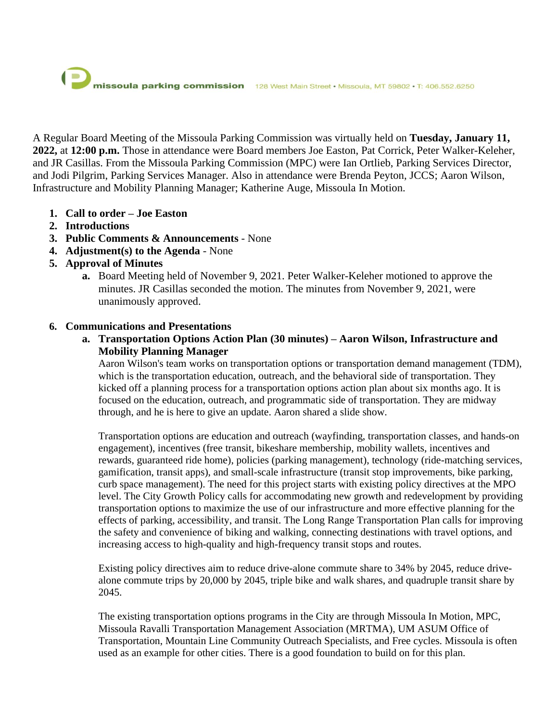A Regular Board Meeting of the Missoula Parking Commission was virtually held on **Tuesday, January 11, 2022,** at **12:00 p.m.** Those in attendance were Board members Joe Easton, Pat Corrick, Peter Walker-Keleher, and JR Casillas. From the Missoula Parking Commission (MPC) were Ian Ortlieb, Parking Services Director, and Jodi Pilgrim, Parking Services Manager. Also in attendance were Brenda Peyton, JCCS; Aaron Wilson, Infrastructure and Mobility Planning Manager; Katherine Auge, Missoula In Motion.

- **1. Call to order – Joe Easton**
- **2. Introductions**
- **3. Public Comments & Announcements** None
- **4. Adjustment(s) to the Agenda** None
- **5. Approval of Minutes**
	- **a.** Board Meeting held of November 9, 2021. Peter Walker-Keleher motioned to approve the minutes. JR Casillas seconded the motion. The minutes from November 9, 2021, were unanimously approved.

# **6. Communications and Presentations**

**a. Transportation Options Action Plan (30 minutes) – Aaron Wilson, Infrastructure and Mobility Planning Manager**

Aaron Wilson's team works on transportation options or transportation demand management (TDM), which is the transportation education, outreach, and the behavioral side of transportation. They kicked off a planning process for a transportation options action plan about six months ago. It is focused on the education, outreach, and programmatic side of transportation. They are midway through, and he is here to give an update. Aaron shared a slide show.

Transportation options are education and outreach (wayfinding, transportation classes, and hands-on engagement), incentives (free transit, bikeshare membership, mobility wallets, incentives and rewards, guaranteed ride home), policies (parking management), technology (ride-matching services, gamification, transit apps), and small-scale infrastructure (transit stop improvements, bike parking, curb space management). The need for this project starts with existing policy directives at the MPO level. The City Growth Policy calls for accommodating new growth and redevelopment by providing transportation options to maximize the use of our infrastructure and more effective planning for the effects of parking, accessibility, and transit. The Long Range Transportation Plan calls for improving the safety and convenience of biking and walking, connecting destinations with travel options, and increasing access to high-quality and high-frequency transit stops and routes.

Existing policy directives aim to reduce drive-alone commute share to 34% by 2045, reduce drivealone commute trips by 20,000 by 2045, triple bike and walk shares, and quadruple transit share by 2045.

The existing transportation options programs in the City are through Missoula In Motion, MPC, Missoula Ravalli Transportation Management Association (MRTMA), UM ASUM Office of Transportation, Mountain Line Community Outreach Specialists, and Free cycles. Missoula is often used as an example for other cities. There is a good foundation to build on for this plan.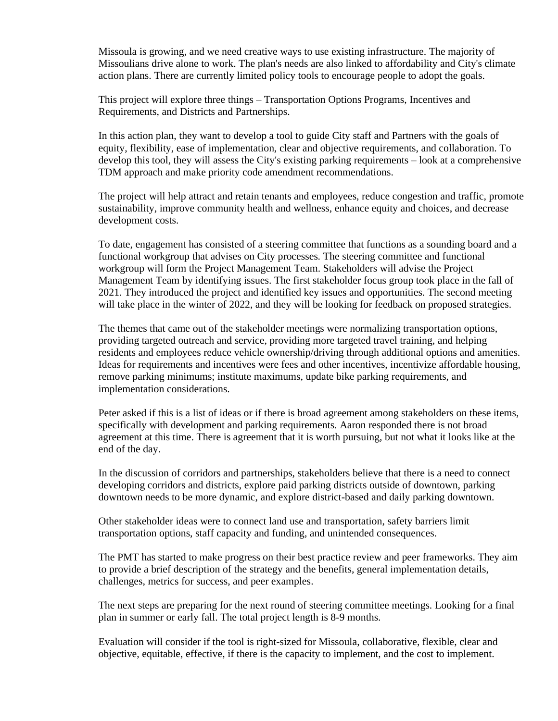Missoula is growing, and we need creative ways to use existing infrastructure. The majority of Missoulians drive alone to work. The plan's needs are also linked to affordability and City's climate action plans. There are currently limited policy tools to encourage people to adopt the goals.

This project will explore three things – Transportation Options Programs, Incentives and Requirements, and Districts and Partnerships.

In this action plan, they want to develop a tool to guide City staff and Partners with the goals of equity, flexibility, ease of implementation, clear and objective requirements, and collaboration. To develop this tool, they will assess the City's existing parking requirements – look at a comprehensive TDM approach and make priority code amendment recommendations.

The project will help attract and retain tenants and employees, reduce congestion and traffic, promote sustainability, improve community health and wellness, enhance equity and choices, and decrease development costs.

To date, engagement has consisted of a steering committee that functions as a sounding board and a functional workgroup that advises on City processes. The steering committee and functional workgroup will form the Project Management Team. Stakeholders will advise the Project Management Team by identifying issues. The first stakeholder focus group took place in the fall of 2021. They introduced the project and identified key issues and opportunities. The second meeting will take place in the winter of 2022, and they will be looking for feedback on proposed strategies.

The themes that came out of the stakeholder meetings were normalizing transportation options, providing targeted outreach and service, providing more targeted travel training, and helping residents and employees reduce vehicle ownership/driving through additional options and amenities. Ideas for requirements and incentives were fees and other incentives, incentivize affordable housing, remove parking minimums; institute maximums, update bike parking requirements, and implementation considerations.

Peter asked if this is a list of ideas or if there is broad agreement among stakeholders on these items, specifically with development and parking requirements. Aaron responded there is not broad agreement at this time. There is agreement that it is worth pursuing, but not what it looks like at the end of the day.

In the discussion of corridors and partnerships, stakeholders believe that there is a need to connect developing corridors and districts, explore paid parking districts outside of downtown, parking downtown needs to be more dynamic, and explore district-based and daily parking downtown.

Other stakeholder ideas were to connect land use and transportation, safety barriers limit transportation options, staff capacity and funding, and unintended consequences.

The PMT has started to make progress on their best practice review and peer frameworks. They aim to provide a brief description of the strategy and the benefits, general implementation details, challenges, metrics for success, and peer examples.

The next steps are preparing for the next round of steering committee meetings. Looking for a final plan in summer or early fall. The total project length is 8-9 months.

Evaluation will consider if the tool is right-sized for Missoula, collaborative, flexible, clear and objective, equitable, effective, if there is the capacity to implement, and the cost to implement.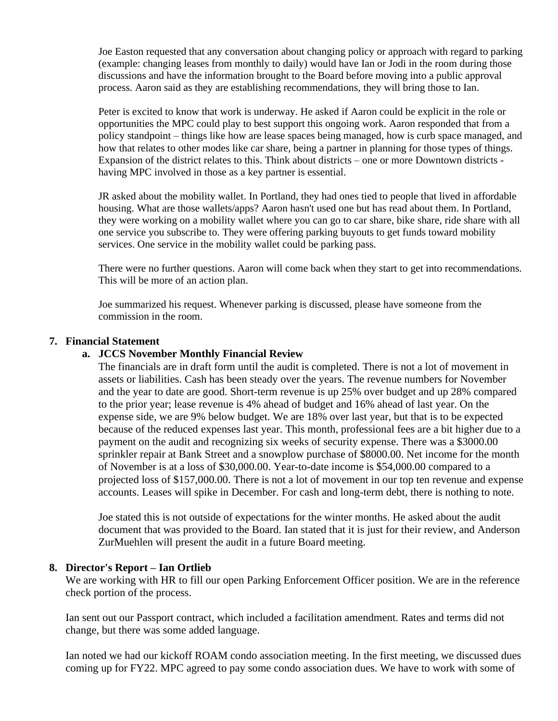Joe Easton requested that any conversation about changing policy or approach with regard to parking (example: changing leases from monthly to daily) would have Ian or Jodi in the room during those discussions and have the information brought to the Board before moving into a public approval process. Aaron said as they are establishing recommendations, they will bring those to Ian.

Peter is excited to know that work is underway. He asked if Aaron could be explicit in the role or opportunities the MPC could play to best support this ongoing work. Aaron responded that from a policy standpoint – things like how are lease spaces being managed, how is curb space managed, and how that relates to other modes like car share, being a partner in planning for those types of things. Expansion of the district relates to this. Think about districts – one or more Downtown districts having MPC involved in those as a key partner is essential.

JR asked about the mobility wallet. In Portland, they had ones tied to people that lived in affordable housing. What are those wallets/apps? Aaron hasn't used one but has read about them. In Portland, they were working on a mobility wallet where you can go to car share, bike share, ride share with all one service you subscribe to. They were offering parking buyouts to get funds toward mobility services. One service in the mobility wallet could be parking pass.

There were no further questions. Aaron will come back when they start to get into recommendations. This will be more of an action plan.

Joe summarized his request. Whenever parking is discussed, please have someone from the commission in the room.

### **7. Financial Statement**

### **a. JCCS November Monthly Financial Review**

The financials are in draft form until the audit is completed. There is not a lot of movement in assets or liabilities. Cash has been steady over the years. The revenue numbers for November and the year to date are good. Short-term revenue is up 25% over budget and up 28% compared to the prior year; lease revenue is 4% ahead of budget and 16% ahead of last year. On the expense side, we are 9% below budget. We are 18% over last year, but that is to be expected because of the reduced expenses last year. This month, professional fees are a bit higher due to a payment on the audit and recognizing six weeks of security expense. There was a \$3000.00 sprinkler repair at Bank Street and a snowplow purchase of \$8000.00. Net income for the month of November is at a loss of \$30,000.00. Year-to-date income is \$54,000.00 compared to a projected loss of \$157,000.00. There is not a lot of movement in our top ten revenue and expense accounts. Leases will spike in December. For cash and long-term debt, there is nothing to note.

Joe stated this is not outside of expectations for the winter months. He asked about the audit document that was provided to the Board. Ian stated that it is just for their review, and Anderson ZurMuehlen will present the audit in a future Board meeting.

#### **8. Director's Report – Ian Ortlieb**

We are working with HR to fill our open Parking Enforcement Officer position. We are in the reference check portion of the process.

Ian sent out our Passport contract, which included a facilitation amendment. Rates and terms did not change, but there was some added language.

Ian noted we had our kickoff ROAM condo association meeting. In the first meeting, we discussed dues coming up for FY22. MPC agreed to pay some condo association dues. We have to work with some of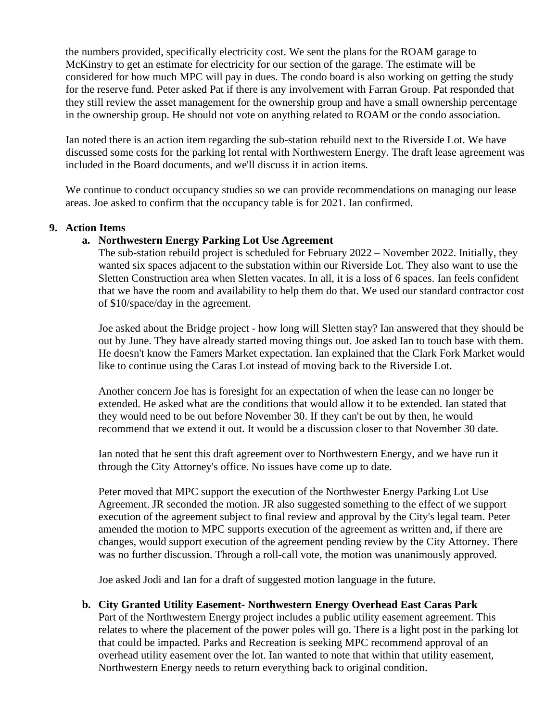the numbers provided, specifically electricity cost. We sent the plans for the ROAM garage to McKinstry to get an estimate for electricity for our section of the garage. The estimate will be considered for how much MPC will pay in dues. The condo board is also working on getting the study for the reserve fund. Peter asked Pat if there is any involvement with Farran Group. Pat responded that they still review the asset management for the ownership group and have a small ownership percentage in the ownership group. He should not vote on anything related to ROAM or the condo association.

Ian noted there is an action item regarding the sub-station rebuild next to the Riverside Lot. We have discussed some costs for the parking lot rental with Northwestern Energy. The draft lease agreement was included in the Board documents, and we'll discuss it in action items.

We continue to conduct occupancy studies so we can provide recommendations on managing our lease areas. Joe asked to confirm that the occupancy table is for 2021. Ian confirmed.

### **9. Action Items**

### **a. Northwestern Energy Parking Lot Use Agreement**

The sub-station rebuild project is scheduled for February 2022 – November 2022. Initially, they wanted six spaces adjacent to the substation within our Riverside Lot. They also want to use the Sletten Construction area when Sletten vacates. In all, it is a loss of 6 spaces. Ian feels confident that we have the room and availability to help them do that. We used our standard contractor cost of \$10/space/day in the agreement.

Joe asked about the Bridge project - how long will Sletten stay? Ian answered that they should be out by June. They have already started moving things out. Joe asked Ian to touch base with them. He doesn't know the Famers Market expectation. Ian explained that the Clark Fork Market would like to continue using the Caras Lot instead of moving back to the Riverside Lot.

Another concern Joe has is foresight for an expectation of when the lease can no longer be extended. He asked what are the conditions that would allow it to be extended. Ian stated that they would need to be out before November 30. If they can't be out by then, he would recommend that we extend it out. It would be a discussion closer to that November 30 date.

Ian noted that he sent this draft agreement over to Northwestern Energy, and we have run it through the City Attorney's office. No issues have come up to date.

Peter moved that MPC support the execution of the Northwester Energy Parking Lot Use Agreement. JR seconded the motion. JR also suggested something to the effect of we support execution of the agreement subject to final review and approval by the City's legal team. Peter amended the motion to MPC supports execution of the agreement as written and, if there are changes, would support execution of the agreement pending review by the City Attorney. There was no further discussion. Through a roll-call vote, the motion was unanimously approved.

Joe asked Jodi and Ian for a draft of suggested motion language in the future.

#### **b. City Granted Utility Easement- Northwestern Energy Overhead East Caras Park**

Part of the Northwestern Energy project includes a public utility easement agreement. This relates to where the placement of the power poles will go. There is a light post in the parking lot that could be impacted. Parks and Recreation is seeking MPC recommend approval of an overhead utility easement over the lot. Ian wanted to note that within that utility easement, Northwestern Energy needs to return everything back to original condition.